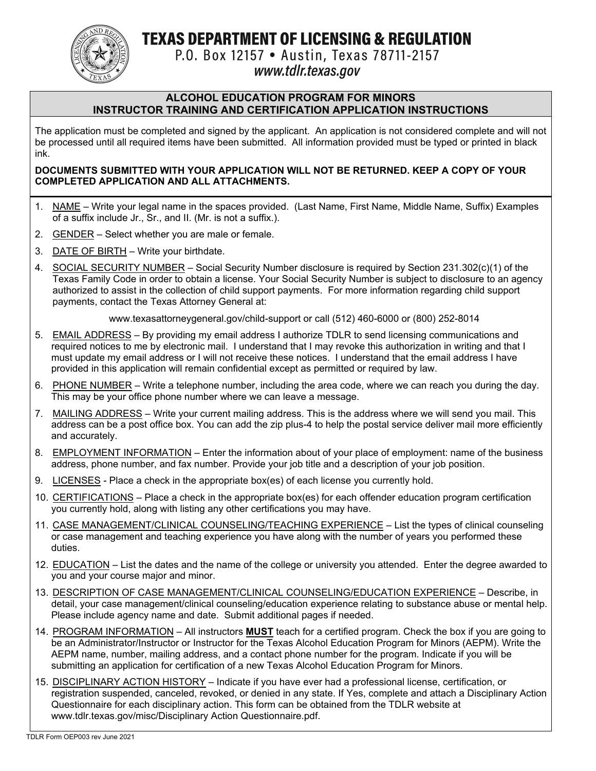TEXAS DEPARTMENT OF LICENSING & REGULATION



P.O. Box 12157 • Austin, Texas 78711-2157

# www.tdlr.texas.gov

#### **ALCOHOL EDUCATION PROGRAM FOR MINORS INSTRUCTOR TRAINING AND CERTIFICATION APPLICATION INSTRUCTIONS**

The application must be completed and signed by the applicant. An application is not considered complete and will not be processed until all required items have been submitted. All information provided must be typed or printed in black ink.

#### **DOCUMENTS SUBMITTED WITH YOUR APPLICATION WILL NOT BE RETURNED. KEEP A COPY OF YOUR COMPLETED APPLICATION AND ALL ATTACHMENTS.**

- 1. NAME Write your legal name in the spaces provided. (Last Name, First Name, Middle Name, Suffix) Examples of a suffix include Jr., Sr., and II. (Mr. is not a suffix.).
- 2. GENDER Select whether you are male or female.
- 3. DATE OF BIRTH Write your birthdate.
- 4. SOCIAL SECURITY NUMBER Social Security Number disclosure is required by Section 231.302(c)(1) of the Texas Family Code in order to obtain a license. Your Social Security Number is subject to disclosure to an agency authorized to assist in the collection of child support payments. For more information regarding child support payments, contact the Texas Attorney General at:

www.texasattorneygeneral.gov/child-support or call (512) 460-6000 or (800) 252-8014

- 5. EMAIL ADDRESS By providing my email address I authorize TDLR to send licensing communications and required notices to me by electronic mail. I understand that I may revoke this authorization in writing and that I must update my email address or I will not receive these notices. I understand that the email address I have provided in this application will remain confidential except as permitted or required by law.
- 6. PHONE NUMBER Write a telephone number, including the area code, where we can reach you during the day. This may be your office phone number where we can leave a message.
- 7. MAILING ADDRESS Write your current mailing address. This is the address where we will send you mail. This address can be a post office box. You can add the zip plus-4 to help the postal service deliver mail more efficiently and accurately.
- 8. EMPLOYMENT INFORMATION Enter the information about of your place of employment: name of the business address, phone number, and fax number. Provide your job title and a description of your job position.
- 9. LICENSES Place a check in the appropriate box(es) of each license you currently hold.
- 10. CERTIFICATIONS Place a check in the appropriate box(es) for each offender education program certification you currently hold, along with listing any other certifications you may have.
- 11. CASE MANAGEMENT/CLINICAL COUNSELING/TEACHING EXPERIENCE List the types of clinical counseling or case management and teaching experience you have along with the number of years you performed these duties.
- 12. EDUCATION List the dates and the name of the college or university you attended. Enter the degree awarded to you and your course major and minor.
- 13. DESCRIPTION OF CASE MANAGEMENT/CLINICAL COUNSELING/EDUCATION EXPERIENCE Describe, in detail, your case management/clinical counseling/education experience relating to substance abuse or mental help. Please include agency name and date. Submit additional pages if needed.
- 14. PROGRAM INFORMATION All instructors **MUST** teach for a certified program. Check the box if you are going to be an Administrator/Instructor or Instructor for the Texas Alcohol Education Program for Minors (AEPM). Write the AEPM name, number, mailing address, and a contact phone number for the program. Indicate if you will be submitting an application for certification of a new Texas Alcohol Education Program for Minors.
- 15. DISCIPLINARY ACTION HISTORY Indicate if you have ever had a professional license, certification, or registration suspended, canceled, revoked, or denied in any state. If Yes, complete and attach a Disciplinary Action Questionnaire for each disciplinary action. This form can be obtained from the TDLR website at www.tdlr.texas.gov/misc/Disciplinary Action Questionnaire.pdf.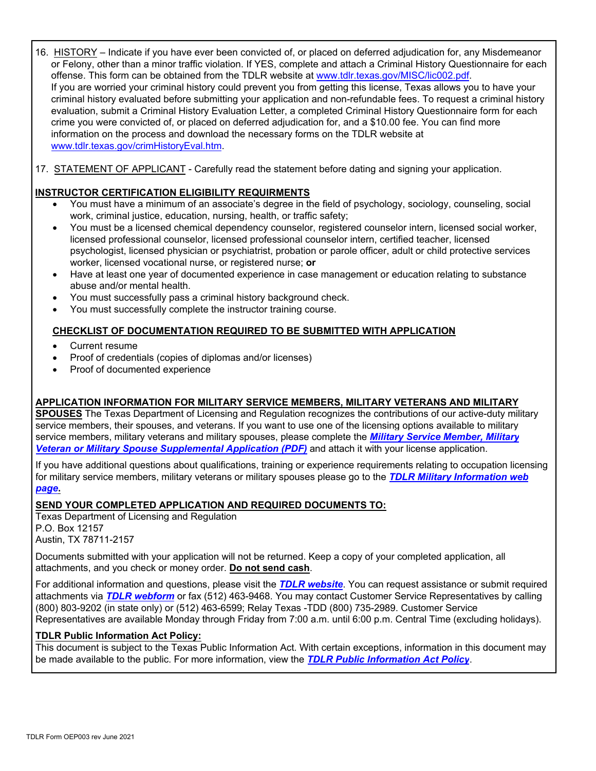16. HISTORY – Indicate if you have ever been convicted of, or placed on deferred adjudication for, any Misdemeanor or Felony, other than a minor traffic violation. If YES, complete and attach a Criminal History Questionnaire for each offense. This form can be obtained from the TDLR website at www.tdlr.texas.gov/MISC/lic002.pdf. If you are worried your criminal history could prevent you from getting this license, Texas allows you to have your criminal history evaluated before submitting your application and non-refundable fees. To request a criminal history evaluation, submit a Criminal History Evaluation Letter, a completed Criminal History Questionnaire form for each crime you were convicted of, or placed on deferred adjudication for, and a \$10.00 fee. You can find more information on the process and download the necessary forms on the TDLR website at www.tdlr.texas.gov/crimHistoryEval.htm.

17. STATEMENT OF APPLICANT - Carefully read the statement before dating and signing your application.

### **INSTRUCTOR CERTIFICATION ELIGIBILITY REQUIRMENTS**

- You must have a minimum of an associate's degree in the field of psychology, sociology, counseling, social work, criminal justice, education, nursing, health, or traffic safety;
- You must be a licensed chemical dependency counselor, registered counselor intern, licensed social worker, licensed professional counselor, licensed professional counselor intern, certified teacher, licensed psychologist, licensed physician or psychiatrist, probation or parole officer, adult or child protective services worker, licensed vocational nurse, or registered nurse; **or**
- Have at least one year of documented experience in case management or education relating to substance abuse and/or mental health.
- You must successfully pass a criminal history background check.
- You must successfully complete the instructor training course.

### **CHECKLIST OF DOCUMENTATION REQUIRED TO BE SUBMITTED WITH APPLICATION**

- Current resume
- Proof of credentials (copies of diplomas and/or licenses)
- Proof of documented experience

### **APPLICATION INFORMATION FOR MILITARY SERVICE MEMBERS, MILITARY VETERANS AND MILITARY**

**SPOUSES** The Texas Department of Licensing and Regulation recognizes the contributions of our active-duty military service members, their spouses, and veterans. If you want to use one of the licensing options available to military [service members, military veterans and military spouses, please complete the](https://www.tdlr.texas.gov/misc/militarysupplemental.pdf) *Military Service Member, Military Veteran or Military Spouse Supplemental Application (PDF)* and attach it with your license application.

If you have additional questions about qualifications, training or experience requirements relating to occupation licensing [for military service members, military veterans or military spouses please go to the](https://www.tdlr.texas.gov/military/) *TDLR Military Information web page***.** 

#### **SEND YOUR COMPLETED APPLICATION AND REQUIRED DOCUMENTS TO:**

Texas Department of Licensing and Regulation P.O. Box 12157 Austin, TX 78711-2157

Documents submitted with your application will not be returned. Keep a copy of your completed application, all attachments, and you check or money order. **Do not send cash**.

For additional information and questions, please visit the *[TDLR website](https://www.tdlr.texas.gov/)*. You can request assistance or submit required attachments via *[TDLR webform](https://www.tdlr.texas.gov/help/)* or fax (512) 463-9468. You may contact Customer Service Representatives by calling (800) 803-9202 (in state only) or (512) 463-6599; Relay Texas -TDD (800) 735-2989. Customer Service Representatives are available Monday through Friday from 7:00 a.m. until 6:00 p.m. Central Time (excluding holidays).

#### **TDLR Public Information Act Policy:**

This document is subject to the Texas Public Information Act. With certain exceptions, information in this document may be made available to the public. For more information, view the *[TDLR Public Information Act Policy](https://www.tdlr.texas.gov/disclaimer.htm#PublicInfoPolicy)*.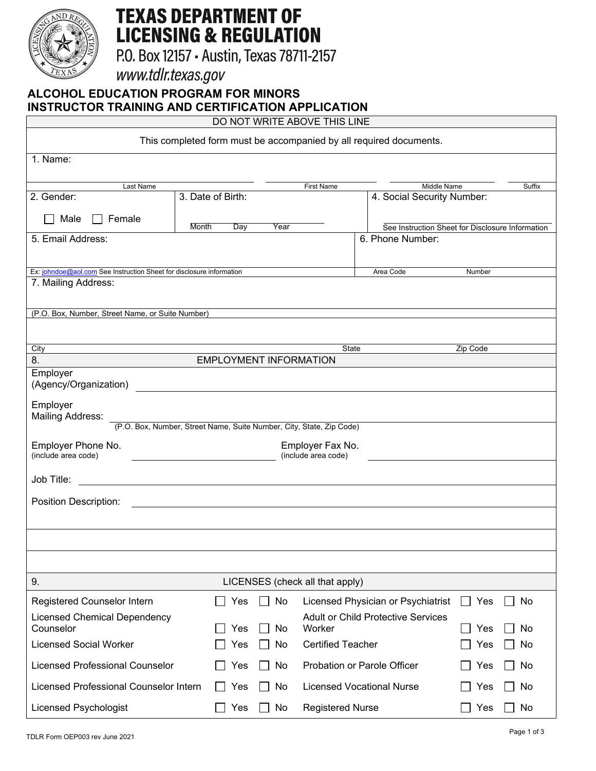

# **TEXAS DEPARTMENT OF LICENSING & REGULATION**

P.O. Box 12157 - Austin, Texas 78711-2157

www.tdlr.texas.gov

## **ALCOHOL EDUCATION PROGRAM FOR MINORS INSTRUCTOR TRAINING AND CERTIFICATION APPLICATION**

DO NOT WRITE ABOVE THIS LINE

| This completed form must be accompanied by all required documents.                                                                  |                                                                                                                        |                                                                                                                     |                                                                      |  |  |  |  |
|-------------------------------------------------------------------------------------------------------------------------------------|------------------------------------------------------------------------------------------------------------------------|---------------------------------------------------------------------------------------------------------------------|----------------------------------------------------------------------|--|--|--|--|
| 1. Name:                                                                                                                            |                                                                                                                        |                                                                                                                     |                                                                      |  |  |  |  |
|                                                                                                                                     |                                                                                                                        |                                                                                                                     |                                                                      |  |  |  |  |
| Last Name<br>2. Gender:                                                                                                             | 3. Date of Birth:                                                                                                      | First Name                                                                                                          | Middle Name<br>Suffix<br>4. Social Security Number:                  |  |  |  |  |
| Male                                                                                                                                |                                                                                                                        |                                                                                                                     |                                                                      |  |  |  |  |
| <b>Month</b><br>5. Email Address:                                                                                                   | Day<br>Year                                                                                                            |                                                                                                                     | See Instruction Sheet for Disclosure Information<br>6. Phone Number: |  |  |  |  |
|                                                                                                                                     |                                                                                                                        |                                                                                                                     |                                                                      |  |  |  |  |
|                                                                                                                                     | Ex: johndoe@aol.com See Instruction Sheet for disclosure information                                                   |                                                                                                                     | Number                                                               |  |  |  |  |
| 7. Mailing Address:                                                                                                                 |                                                                                                                        |                                                                                                                     |                                                                      |  |  |  |  |
|                                                                                                                                     |                                                                                                                        |                                                                                                                     |                                                                      |  |  |  |  |
| (P.O. Box, Number, Street Name, or Suite Number)                                                                                    |                                                                                                                        |                                                                                                                     |                                                                      |  |  |  |  |
| City                                                                                                                                |                                                                                                                        | State                                                                                                               | Zip Code                                                             |  |  |  |  |
| 8.                                                                                                                                  | <b>EMPLOYMENT INFORMATION</b>                                                                                          |                                                                                                                     |                                                                      |  |  |  |  |
| Employer<br>(Agency/Organization)                                                                                                   |                                                                                                                        | <u> 1989 - Jan Samuel Barbara, margaret e populari e populari e populari e populari e populari e populari e pop</u> |                                                                      |  |  |  |  |
| Employer<br><b>Mailing Address:</b>                                                                                                 |                                                                                                                        |                                                                                                                     |                                                                      |  |  |  |  |
|                                                                                                                                     | (P.O. Box, Number, Street Name, Suite Number, City, State, Zip Code)                                                   |                                                                                                                     |                                                                      |  |  |  |  |
| Employer Phone No.<br>(include area code)                                                                                           | Employer Fax No.<br>(include area code)<br><u> 1989 - Johann Barbara, martin amerikan ba</u>                           |                                                                                                                     |                                                                      |  |  |  |  |
| Job Title:<br><u> 1989 - Johann Barn, mars ann an t-Amhain an t-Amhain an t-Amhain an t-Amhain an t-Amhain an t-Amhain an t-Amh</u> |                                                                                                                        |                                                                                                                     |                                                                      |  |  |  |  |
| Position Description:                                                                                                               | <u> 1989 - Johann Barn, mars ann an t-Amhain ann an t-Amhain an t-Amhain an t-Amhain an t-Amhain an t-Amhain an t-</u> |                                                                                                                     |                                                                      |  |  |  |  |
|                                                                                                                                     |                                                                                                                        |                                                                                                                     |                                                                      |  |  |  |  |
|                                                                                                                                     |                                                                                                                        |                                                                                                                     |                                                                      |  |  |  |  |
|                                                                                                                                     |                                                                                                                        |                                                                                                                     |                                                                      |  |  |  |  |
| 9.                                                                                                                                  | LICENSES (check all that apply)                                                                                        |                                                                                                                     |                                                                      |  |  |  |  |
| Registered Counselor Intern                                                                                                         | No<br>Yes                                                                                                              | Licensed Physician or Psychiatrist                                                                                  | Yes<br>No<br>$\blacksquare$                                          |  |  |  |  |
| <b>Licensed Chemical Dependency</b><br>Counselor                                                                                    | Yes<br>No                                                                                                              | <b>Adult or Child Protective Services</b><br>Worker                                                                 | Yes<br>No                                                            |  |  |  |  |
| <b>Licensed Social Worker</b>                                                                                                       | Yes<br>No                                                                                                              | <b>Certified Teacher</b>                                                                                            | Yes<br>No                                                            |  |  |  |  |
| <b>Licensed Professional Counselor</b>                                                                                              | No<br>Yes                                                                                                              | Probation or Parole Officer                                                                                         | No<br>Yes                                                            |  |  |  |  |
| Licensed Professional Counselor Intern                                                                                              | No<br>Yes<br>$\Box$                                                                                                    | <b>Licensed Vocational Nurse</b>                                                                                    | Yes<br>No                                                            |  |  |  |  |
| <b>Licensed Psychologist</b>                                                                                                        | Yes<br>No                                                                                                              | <b>Registered Nurse</b>                                                                                             | No<br>Yes                                                            |  |  |  |  |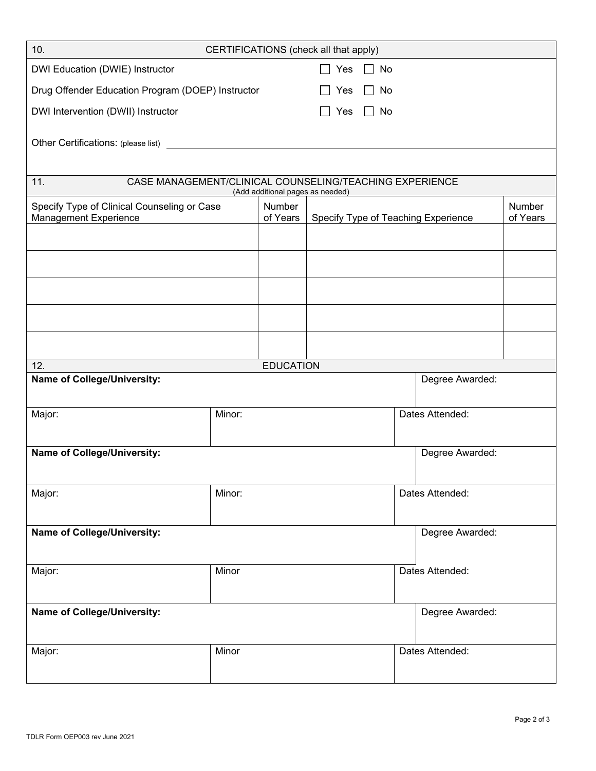| 10.<br>CERTIFICATIONS (check all that apply)                                                       |        |                    |                 |                 |                                     |                    |  |  |
|----------------------------------------------------------------------------------------------------|--------|--------------------|-----------------|-----------------|-------------------------------------|--------------------|--|--|
| DWI Education (DWIE) Instructor                                                                    |        |                    | Yes             | $\Box$ No       |                                     |                    |  |  |
| Drug Offender Education Program (DOEP) Instructor                                                  |        |                    | Yes             | No              |                                     |                    |  |  |
| DWI Intervention (DWII) Instructor                                                                 |        |                    | Yes             | No              |                                     |                    |  |  |
|                                                                                                    |        |                    |                 |                 |                                     |                    |  |  |
|                                                                                                    |        |                    |                 |                 |                                     |                    |  |  |
|                                                                                                    |        |                    |                 |                 |                                     |                    |  |  |
| CASE MANAGEMENT/CLINICAL COUNSELING/TEACHING EXPERIENCE<br>11.<br>(Add additional pages as needed) |        |                    |                 |                 |                                     |                    |  |  |
| Specify Type of Clinical Counseling or Case<br>Management Experience                               |        | Number<br>of Years |                 |                 | Specify Type of Teaching Experience | Number<br>of Years |  |  |
|                                                                                                    |        |                    |                 |                 |                                     |                    |  |  |
|                                                                                                    |        |                    |                 |                 |                                     |                    |  |  |
|                                                                                                    |        |                    |                 |                 |                                     |                    |  |  |
|                                                                                                    |        |                    |                 |                 |                                     |                    |  |  |
|                                                                                                    |        |                    |                 |                 |                                     |                    |  |  |
|                                                                                                    |        |                    |                 |                 |                                     |                    |  |  |
|                                                                                                    |        |                    |                 |                 |                                     |                    |  |  |
| 12.                                                                                                |        | <b>EDUCATION</b>   |                 |                 |                                     |                    |  |  |
| <b>Name of College/University:</b><br>Degree Awarded:                                              |        |                    |                 |                 |                                     |                    |  |  |
| Major:                                                                                             | Minor: |                    |                 | Dates Attended: |                                     |                    |  |  |
|                                                                                                    |        |                    |                 |                 |                                     |                    |  |  |
| <b>Name of College/University:</b>                                                                 |        |                    |                 |                 | Degree Awarded:                     |                    |  |  |
|                                                                                                    |        |                    |                 |                 |                                     |                    |  |  |
| Major:                                                                                             | Minor: |                    |                 | Dates Attended: |                                     |                    |  |  |
|                                                                                                    |        |                    |                 |                 |                                     |                    |  |  |
| <b>Name of College/University:</b>                                                                 |        |                    |                 |                 | Degree Awarded:                     |                    |  |  |
|                                                                                                    |        |                    |                 |                 |                                     |                    |  |  |
| Major:                                                                                             | Minor  |                    |                 |                 | Dates Attended:                     |                    |  |  |
|                                                                                                    |        |                    |                 |                 |                                     |                    |  |  |
| Name of College/University:                                                                        |        |                    |                 |                 | Degree Awarded:                     |                    |  |  |
|                                                                                                    |        |                    |                 |                 |                                     |                    |  |  |
| Major:                                                                                             | Minor  |                    | Dates Attended: |                 |                                     |                    |  |  |
|                                                                                                    |        |                    |                 |                 |                                     |                    |  |  |